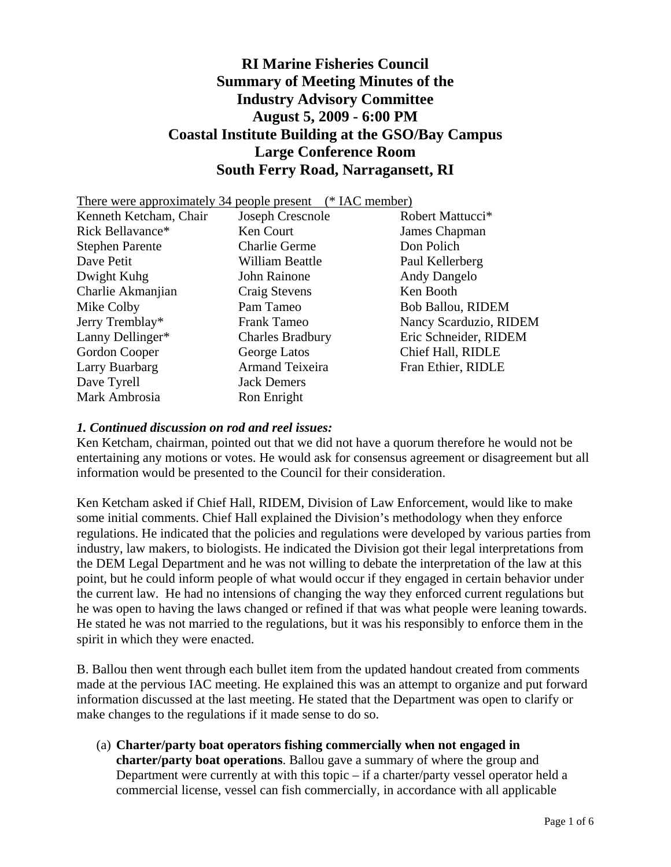# **RI Marine Fisheries Council Summary of Meeting Minutes of the Industry Advisory Committee August 5, 2009 - 6:00 PM Coastal Institute Building at the GSO/Bay Campus Large Conference Room South Ferry Road, Narragansett, RI**

| <sup>*</sup> IAC member)<br>There were approximately 34 people present |                         |                              |
|------------------------------------------------------------------------|-------------------------|------------------------------|
| Kenneth Ketcham, Chair                                                 | Joseph Crescnole        | Robert Mattucci <sup>*</sup> |
| Rick Bellavance*                                                       | Ken Court               | James Chapman                |
| <b>Stephen Parente</b>                                                 | <b>Charlie Germe</b>    | Don Polich                   |
| Dave Petit                                                             | William Beattle         | Paul Kellerberg              |
| Dwight Kuhg                                                            | John Rainone            | Andy Dangelo                 |
| Charlie Akmanjian                                                      | Craig Stevens           | Ken Booth                    |
| Mike Colby                                                             | Pam Tameo               | <b>Bob Ballou, RIDEM</b>     |
| Jerry Tremblay*                                                        | Frank Tameo             | Nancy Scarduzio, RIDEM       |
| Lanny Dellinger*                                                       | <b>Charles Bradbury</b> | Eric Schneider, RIDEM        |
| Gordon Cooper                                                          | George Latos            | Chief Hall, RIDLE            |
| Larry Buarbarg                                                         | <b>Armand Teixeira</b>  | Fran Ethier, RIDLE           |
| Dave Tyrell                                                            | <b>Jack Demers</b>      |                              |
| Mark Ambrosia                                                          | Ron Enright             |                              |

#### *1. Continued discussion on rod and reel issues:*

Ken Ketcham, chairman, pointed out that we did not have a quorum therefore he would not be entertaining any motions or votes. He would ask for consensus agreement or disagreement but all information would be presented to the Council for their consideration.

Ken Ketcham asked if Chief Hall, RIDEM, Division of Law Enforcement, would like to make some initial comments. Chief Hall explained the Division's methodology when they enforce regulations. He indicated that the policies and regulations were developed by various parties from industry, law makers, to biologists. He indicated the Division got their legal interpretations from the DEM Legal Department and he was not willing to debate the interpretation of the law at this point, but he could inform people of what would occur if they engaged in certain behavior under the current law. He had no intensions of changing the way they enforced current regulations but he was open to having the laws changed or refined if that was what people were leaning towards. He stated he was not married to the regulations, but it was his responsibly to enforce them in the spirit in which they were enacted.

B. Ballou then went through each bullet item from the updated handout created from comments made at the pervious IAC meeting. He explained this was an attempt to organize and put forward information discussed at the last meeting. He stated that the Department was open to clarify or make changes to the regulations if it made sense to do so.

(a) **Charter/party boat operators fishing commercially when not engaged in charter/party boat operations**. Ballou gave a summary of where the group and Department were currently at with this topic – if a charter/party vessel operator held a commercial license, vessel can fish commercially, in accordance with all applicable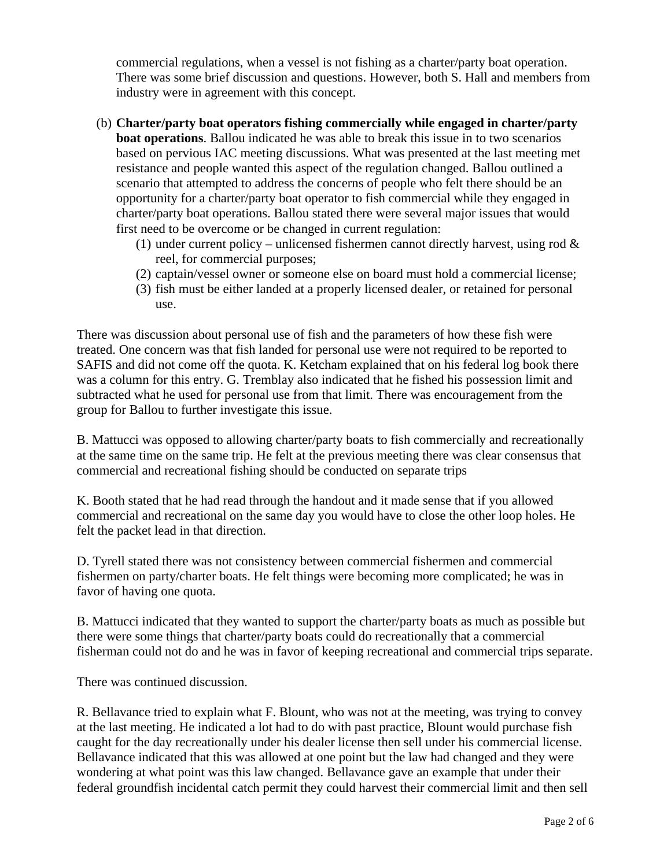commercial regulations, when a vessel is not fishing as a charter/party boat operation. There was some brief discussion and questions. However, both S. Hall and members from industry were in agreement with this concept.

- (b) **Charter/party boat operators fishing commercially while engaged in charter/party boat operations**. Ballou indicated he was able to break this issue in to two scenarios based on pervious IAC meeting discussions. What was presented at the last meeting met resistance and people wanted this aspect of the regulation changed. Ballou outlined a scenario that attempted to address the concerns of people who felt there should be an opportunity for a charter/party boat operator to fish commercial while they engaged in charter/party boat operations. Ballou stated there were several major issues that would first need to be overcome or be changed in current regulation:
	- (1) under current policy unlicensed fishermen cannot directly harvest, using rod  $\&$ reel, for commercial purposes;
	- (2) captain/vessel owner or someone else on board must hold a commercial license;
	- (3) fish must be either landed at a properly licensed dealer, or retained for personal use.

There was discussion about personal use of fish and the parameters of how these fish were treated. One concern was that fish landed for personal use were not required to be reported to SAFIS and did not come off the quota. K. Ketcham explained that on his federal log book there was a column for this entry. G. Tremblay also indicated that he fished his possession limit and subtracted what he used for personal use from that limit. There was encouragement from the group for Ballou to further investigate this issue.

B. Mattucci was opposed to allowing charter/party boats to fish commercially and recreationally at the same time on the same trip. He felt at the previous meeting there was clear consensus that commercial and recreational fishing should be conducted on separate trips

K. Booth stated that he had read through the handout and it made sense that if you allowed commercial and recreational on the same day you would have to close the other loop holes. He felt the packet lead in that direction.

D. Tyrell stated there was not consistency between commercial fishermen and commercial fishermen on party/charter boats. He felt things were becoming more complicated; he was in favor of having one quota.

B. Mattucci indicated that they wanted to support the charter/party boats as much as possible but there were some things that charter/party boats could do recreationally that a commercial fisherman could not do and he was in favor of keeping recreational and commercial trips separate.

There was continued discussion.

R. Bellavance tried to explain what F. Blount, who was not at the meeting, was trying to convey at the last meeting. He indicated a lot had to do with past practice, Blount would purchase fish caught for the day recreationally under his dealer license then sell under his commercial license. Bellavance indicated that this was allowed at one point but the law had changed and they were wondering at what point was this law changed. Bellavance gave an example that under their federal groundfish incidental catch permit they could harvest their commercial limit and then sell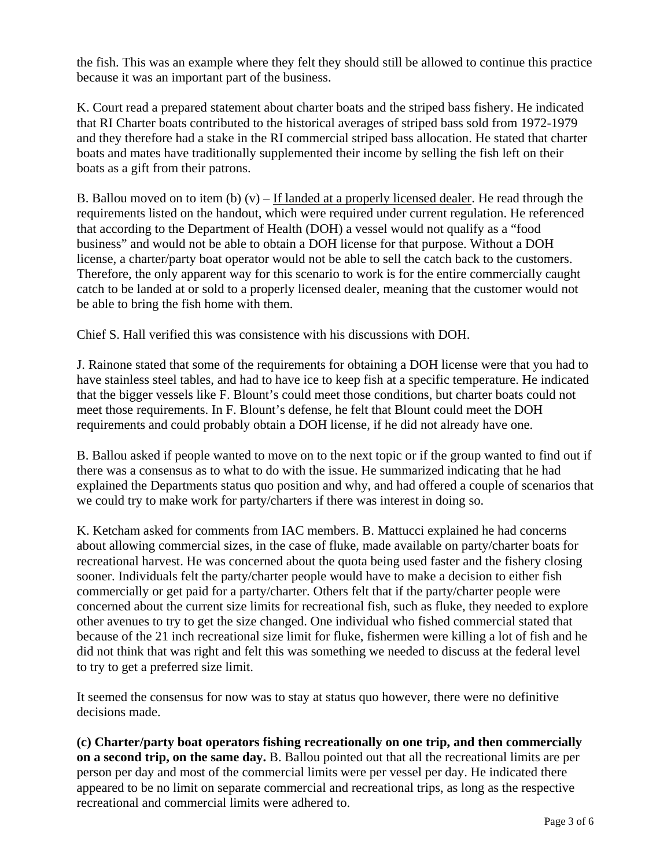the fish. This was an example where they felt they should still be allowed to continue this practice because it was an important part of the business.

K. Court read a prepared statement about charter boats and the striped bass fishery. He indicated that RI Charter boats contributed to the historical averages of striped bass sold from 1972-1979 and they therefore had a stake in the RI commercial striped bass allocation. He stated that charter boats and mates have traditionally supplemented their income by selling the fish left on their boats as a gift from their patrons.

B. Ballou moved on to item (b)  $(v)$  – If landed at a properly licensed dealer. He read through the requirements listed on the handout, which were required under current regulation. He referenced that according to the Department of Health (DOH) a vessel would not qualify as a "food business" and would not be able to obtain a DOH license for that purpose. Without a DOH license, a charter/party boat operator would not be able to sell the catch back to the customers. Therefore, the only apparent way for this scenario to work is for the entire commercially caught catch to be landed at or sold to a properly licensed dealer, meaning that the customer would not be able to bring the fish home with them.

Chief S. Hall verified this was consistence with his discussions with DOH.

J. Rainone stated that some of the requirements for obtaining a DOH license were that you had to have stainless steel tables, and had to have ice to keep fish at a specific temperature. He indicated that the bigger vessels like F. Blount's could meet those conditions, but charter boats could not meet those requirements. In F. Blount's defense, he felt that Blount could meet the DOH requirements and could probably obtain a DOH license, if he did not already have one.

B. Ballou asked if people wanted to move on to the next topic or if the group wanted to find out if there was a consensus as to what to do with the issue. He summarized indicating that he had explained the Departments status quo position and why, and had offered a couple of scenarios that we could try to make work for party/charters if there was interest in doing so.

K. Ketcham asked for comments from IAC members. B. Mattucci explained he had concerns about allowing commercial sizes, in the case of fluke, made available on party/charter boats for recreational harvest. He was concerned about the quota being used faster and the fishery closing sooner. Individuals felt the party/charter people would have to make a decision to either fish commercially or get paid for a party/charter. Others felt that if the party/charter people were concerned about the current size limits for recreational fish, such as fluke, they needed to explore other avenues to try to get the size changed. One individual who fished commercial stated that because of the 21 inch recreational size limit for fluke, fishermen were killing a lot of fish and he did not think that was right and felt this was something we needed to discuss at the federal level to try to get a preferred size limit.

It seemed the consensus for now was to stay at status quo however, there were no definitive decisions made.

**(c) Charter/party boat operators fishing recreationally on one trip, and then commercially on a second trip, on the same day.** B. Ballou pointed out that all the recreational limits are per person per day and most of the commercial limits were per vessel per day. He indicated there appeared to be no limit on separate commercial and recreational trips, as long as the respective recreational and commercial limits were adhered to.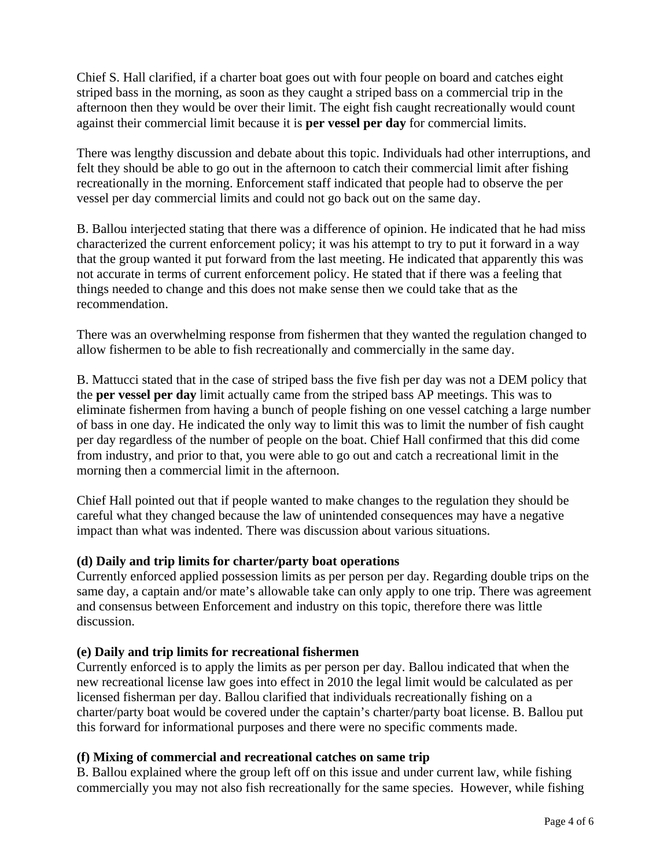Chief S. Hall clarified, if a charter boat goes out with four people on board and catches eight striped bass in the morning, as soon as they caught a striped bass on a commercial trip in the afternoon then they would be over their limit. The eight fish caught recreationally would count against their commercial limit because it is **per vessel per day** for commercial limits.

There was lengthy discussion and debate about this topic. Individuals had other interruptions, and felt they should be able to go out in the afternoon to catch their commercial limit after fishing recreationally in the morning. Enforcement staff indicated that people had to observe the per vessel per day commercial limits and could not go back out on the same day.

B. Ballou interjected stating that there was a difference of opinion. He indicated that he had miss characterized the current enforcement policy; it was his attempt to try to put it forward in a way that the group wanted it put forward from the last meeting. He indicated that apparently this was not accurate in terms of current enforcement policy. He stated that if there was a feeling that things needed to change and this does not make sense then we could take that as the recommendation.

There was an overwhelming response from fishermen that they wanted the regulation changed to allow fishermen to be able to fish recreationally and commercially in the same day.

B. Mattucci stated that in the case of striped bass the five fish per day was not a DEM policy that the **per vessel per day** limit actually came from the striped bass AP meetings. This was to eliminate fishermen from having a bunch of people fishing on one vessel catching a large number of bass in one day. He indicated the only way to limit this was to limit the number of fish caught per day regardless of the number of people on the boat. Chief Hall confirmed that this did come from industry, and prior to that, you were able to go out and catch a recreational limit in the morning then a commercial limit in the afternoon.

Chief Hall pointed out that if people wanted to make changes to the regulation they should be careful what they changed because the law of unintended consequences may have a negative impact than what was indented. There was discussion about various situations.

## **(d) Daily and trip limits for charter/party boat operations**

Currently enforced applied possession limits as per person per day. Regarding double trips on the same day, a captain and/or mate's allowable take can only apply to one trip. There was agreement and consensus between Enforcement and industry on this topic, therefore there was little discussion.

## **(e) Daily and trip limits for recreational fishermen**

Currently enforced is to apply the limits as per person per day. Ballou indicated that when the new recreational license law goes into effect in 2010 the legal limit would be calculated as per licensed fisherman per day. Ballou clarified that individuals recreationally fishing on a charter/party boat would be covered under the captain's charter/party boat license. B. Ballou put this forward for informational purposes and there were no specific comments made.

## **(f) Mixing of commercial and recreational catches on same trip**

B. Ballou explained where the group left off on this issue and under current law, while fishing commercially you may not also fish recreationally for the same species. However, while fishing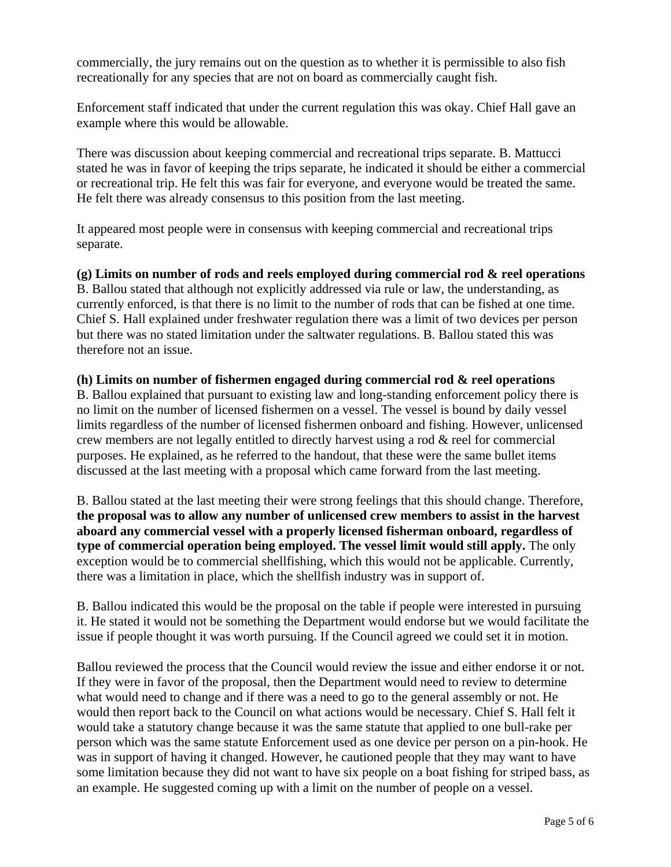commercially, the jury remains out on the question as to whether it is permissible to also fish recreationally for any species that are not on board as commercially caught fish.

Enforcement staff indicated that under the current regulation this was okay. Chief Hall gave an example where this would be allowable.

There was discussion about keeping commercial and recreational trips separate. B. Mattucci stated he was in favor of keeping the trips separate, he indicated it should be either a commercial or recreational trip. He felt this was fair for everyone, and everyone would be treated the same. He felt there was already consensus to this position from the last meeting.

It appeared most people were in consensus with keeping commercial and recreational trips separate.

**(g) Limits on number of rods and reels employed during commercial rod & reel operations**  B. Ballou stated that although not explicitly addressed via rule or law, the understanding, as currently enforced, is that there is no limit to the number of rods that can be fished at one time. Chief S. Hall explained under freshwater regulation there was a limit of two devices per person but there was no stated limitation under the saltwater regulations. B. Ballou stated this was therefore not an issue.

#### **(h) Limits on number of fishermen engaged during commercial rod & reel operations**

B. Ballou explained that pursuant to existing law and long-standing enforcement policy there is no limit on the number of licensed fishermen on a vessel. The vessel is bound by daily vessel limits regardless of the number of licensed fishermen onboard and fishing. However, unlicensed crew members are not legally entitled to directly harvest using a rod & reel for commercial purposes. He explained, as he referred to the handout, that these were the same bullet items discussed at the last meeting with a proposal which came forward from the last meeting.

B. Ballou stated at the last meeting their were strong feelings that this should change. Therefore, **the proposal was to allow any number of unlicensed crew members to assist in the harvest aboard any commercial vessel with a properly licensed fisherman onboard, regardless of type of commercial operation being employed. The vessel limit would still apply.** The only exception would be to commercial shellfishing, which this would not be applicable. Currently, there was a limitation in place, which the shellfish industry was in support of.

B. Ballou indicated this would be the proposal on the table if people were interested in pursuing it. He stated it would not be something the Department would endorse but we would facilitate the issue if people thought it was worth pursuing. If the Council agreed we could set it in motion.

Ballou reviewed the process that the Council would review the issue and either endorse it or not. If they were in favor of the proposal, then the Department would need to review to determine what would need to change and if there was a need to go to the general assembly or not. He would then report back to the Council on what actions would be necessary. Chief S. Hall felt it would take a statutory change because it was the same statute that applied to one bull-rake per person which was the same statute Enforcement used as one device per person on a pin-hook. He was in support of having it changed. However, he cautioned people that they may want to have some limitation because they did not want to have six people on a boat fishing for striped bass, as an example. He suggested coming up with a limit on the number of people on a vessel.